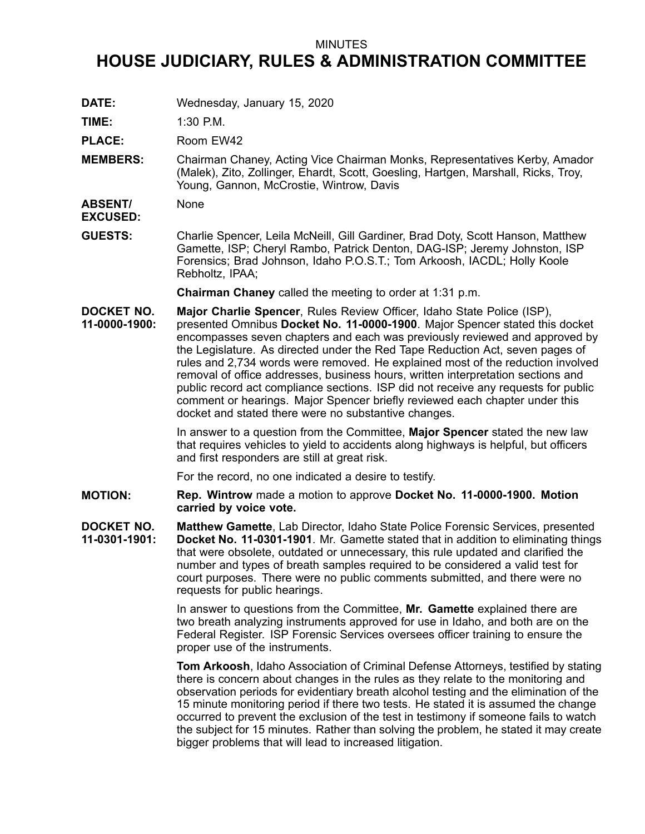## MINUTES

## **HOUSE JUDICIARY, RULES & ADMINISTRATION COMMITTEE**

**DATE:** Wednesday, January 15, 2020

**TIME:** 1:30 P.M.

PLACE: Room EW42

**MEMBERS:** Chairman Chaney, Acting Vice Chairman Monks, Representatives Kerby, Amador (Malek), Zito, Zollinger, Ehardt, Scott, Goesling, Hartgen, Marshall, Ricks, Troy, Young, Gannon, McCrostie, Wintrow, Davis

**ABSENT/** None

**EXCUSED:**

**GUESTS:** Charlie Spencer, Leila McNeill, Gill Gardiner, Brad Doty, Scott Hanson, Matthew Gamette, ISP; Cheryl Rambo, Patrick Denton, DAG-ISP; Jeremy Johnston, ISP Forensics; Brad Johnson, Idaho P.O.S.T.; Tom Arkoosh, IACDL; Holly Koole Rebholtz, IPAA;

**Chairman Chaney** called the meeting to order at 1:31 p.m.

**DOCKET NO. 11-0000-1900: Major Charlie Spencer**, Rules Review Officer, Idaho State Police (ISP), presented Omnibus **Docket No. 11-0000-1900**. Major Spencer stated this docket encompasses seven chapters and each was previously reviewed and approved by the Legislature. As directed under the Red Tape Reduction Act, seven pages of rules and 2,734 words were removed. He explained most of the reduction involved removal of office addresses, business hours, written interpretation sections and public record act compliance sections. ISP did not receive any requests for public comment or hearings. Major Spencer briefly reviewed each chapter under this docket and stated there were no substantive changes.

> In answer to <sup>a</sup> question from the Committee, **Major Spencer** stated the new law that requires vehicles to yield to accidents along highways is helpful, but officers and first responders are still at great risk.

For the record, no one indicated <sup>a</sup> desire to testify.

**MOTION: Rep. Wintrow** made <sup>a</sup> motion to approve **Docket No. 11-0000-1900. Motion carried by voice vote.**

**DOCKET NO. 11-0301-1901: Matthew Gamette**, Lab Director, Idaho State Police Forensic Services, presented **Docket No. 11-0301-1901**. Mr. Gamette stated that in addition to eliminating things that were obsolete, outdated or unnecessary, this rule updated and clarified the number and types of breath samples required to be considered <sup>a</sup> valid test for court purposes. There were no public comments submitted, and there were no requests for public hearings.

> In answer to questions from the Committee, **Mr. Gamette** explained there are two breath analyzing instruments approved for use in Idaho, and both are on the Federal Register. ISP Forensic Services oversees officer training to ensure the proper use of the instruments.

**Tom Arkoosh**, Idaho Association of Criminal Defense Attorneys, testified by stating there is concern about changes in the rules as they relate to the monitoring and observation periods for evidentiary breath alcohol testing and the elimination of the 15 minute monitoring period if there two tests. He stated it is assumed the change occurred to prevent the exclusion of the test in testimony if someone fails to watch the subject for 15 minutes. Rather than solving the problem, he stated it may create bigger problems that will lead to increased litigation.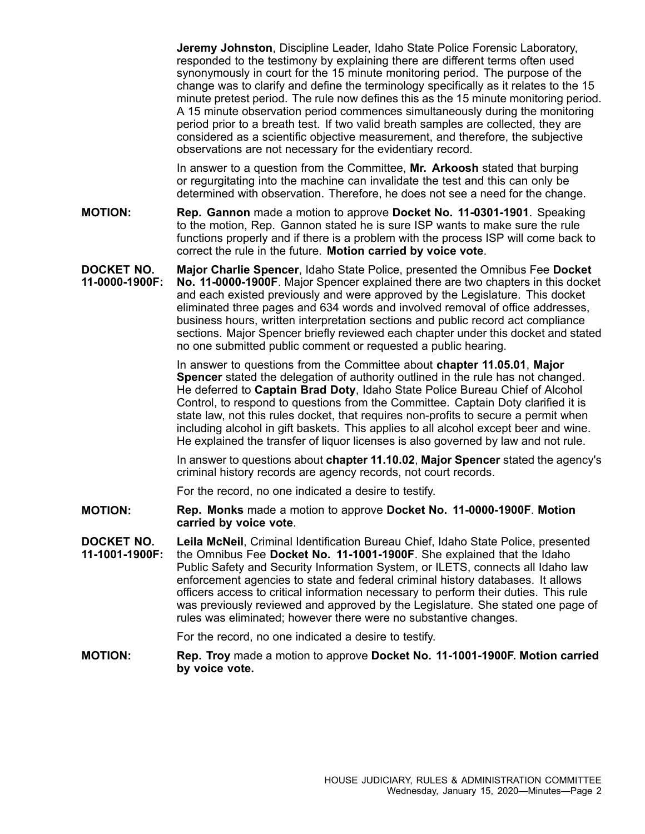**Jeremy Johnston**, Discipline Leader, Idaho State Police Forensic Laboratory, responded to the testimony by explaining there are different terms often used synonymously in court for the 15 minute monitoring period. The purpose of the change was to clarify and define the terminology specifically as it relates to the 15 minute pretest period. The rule now defines this as the 15 minute monitoring period. A 15 minute observation period commences simultaneously during the monitoring period prior to <sup>a</sup> breath test. If two valid breath samples are collected, they are considered as <sup>a</sup> scientific objective measurement, and therefore, the subjective observations are not necessary for the evidentiary record.

In answer to <sup>a</sup> question from the Committee, **Mr. Arkoosh** stated that burping or regurgitating into the machine can invalidate the test and this can only be determined with observation. Therefore, he does not see <sup>a</sup> need for the change.

**MOTION: Rep. Gannon** made <sup>a</sup> motion to approve **Docket No. 11-0301-1901**. Speaking to the motion, Rep. Gannon stated he is sure ISP wants to make sure the rule functions properly and if there is <sup>a</sup> problem with the process ISP will come back to correct the rule in the future. **Motion carried by voice vote**.

**DOCKET NO. 11-0000-1900F: Major Charlie Spencer**, Idaho State Police, presented the Omnibus Fee **Docket No. 11-0000-1900F**. Major Spencer explained there are two chapters in this docket and each existed previously and were approved by the Legislature. This docket eliminated three pages and 634 words and involved removal of office addresses, business hours, written interpretation sections and public record act compliance sections. Major Spencer briefly reviewed each chapter under this docket and stated no one submitted public comment or requested <sup>a</sup> public hearing.

> In answer to questions from the Committee about **chapter 11.05.01**, **Major Spencer** stated the delegation of authority outlined in the rule has not changed. He deferred to **Captain Brad Doty**, Idaho State Police Bureau Chief of Alcohol Control, to respond to questions from the Committee. Captain Doty clarified it is state law, not this rules docket, that requires non-profits to secure <sup>a</sup> permit when including alcohol in gift baskets. This applies to all alcohol except beer and wine. He explained the transfer of liquor licenses is also governed by law and not rule.

In answer to questions about **chapter 11.10.02**, **Major Spencer** stated the agency's criminal history records are agency records, not court records.

For the record, no one indicated <sup>a</sup> desire to testify.

- **MOTION: Rep. Monks** made <sup>a</sup> motion to approve **Docket No. 11-0000-1900F**. **Motion carried by voice vote**.
- **DOCKET NO. 11-1001-1900F: Leila McNeil**, Criminal Identification Bureau Chief, Idaho State Police, presented the Omnibus Fee **Docket No. 11-1001-1900F**. She explained that the Idaho Public Safety and Security Information System, or ILETS, connects all Idaho law enforcement agencies to state and federal criminal history databases. It allows officers access to critical information necessary to perform their duties. This rule was previously reviewed and approved by the Legislature. She stated one page of rules was eliminated; however there were no substantive changes.

For the record, no one indicated <sup>a</sup> desire to testify.

**MOTION: Rep. Troy** made <sup>a</sup> motion to approve **Docket No. 11-1001-1900F. Motion carried by voice vote.**